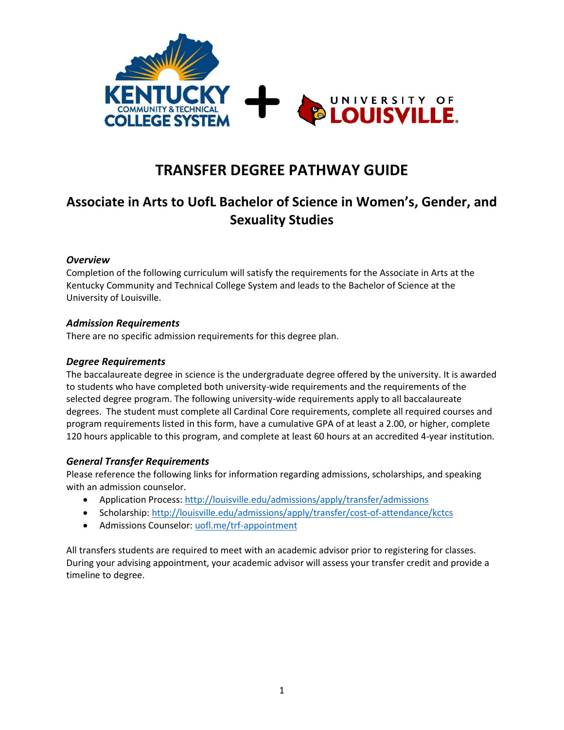

# **TRANSFER DEGREE PATHWAY GUIDE**

## **Associate in Arts to UofL Bachelor of Science in Women's, Gender, and Sexuality Studies**

## *Overview*

Completion of the following curriculum will satisfy the requirements for the Associate in Arts at the Kentucky Community and Technical College System and leads to the Bachelor of Science at the University of Louisville.

#### *Admission Requirements*

There are no specific admission requirements for this degree plan.

#### *Degree Requirements*

The baccalaureate degree in science is the undergraduate degree offered by the university. It is awarded to students who have completed both university-wide requirements and the requirements of the selected degree program. The following university-wide requirements apply to all baccalaureate degrees. The student must complete all Cardinal Core requirements, complete all required courses and program requirements listed in this form, have a cumulative GPA of at least a 2.00, or higher, complete 120 hours applicable to this program, and complete at least 60 hours at an accredited 4-year institution.

## *General Transfer Requirements*

Please reference the following links for information regarding admissions, scholarships, and speaking with an admission counselor.

- Application Process[: http://louisville.edu/admissions/apply/transfer/admissions](http://louisville.edu/admissions/apply/transfer/admissions)
- Scholarship[: http://louisville.edu/admissions/apply/transfer/cost-of-attendance/kctcs](http://louisville.edu/admissions/apply/transfer/cost-of-attendance/kctcs)
- Admissions Counselor[: uofl.me/trf-appointment](http://uofl.me/trf-appointment)

All transfers students are required to meet with an academic advisor prior to registering for classes. During your advising appointment, your academic advisor will assess your transfer credit and provide a timeline to degree.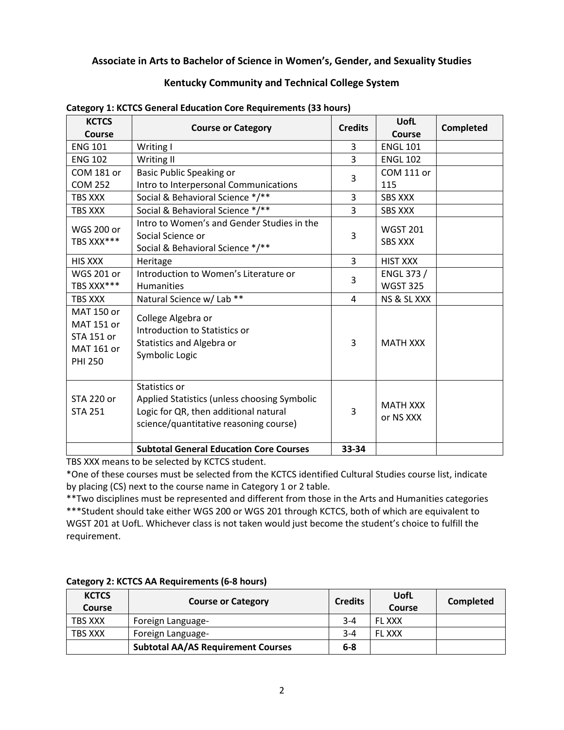## **Associate in Arts to Bachelor of Science in Women's, Gender, and Sexuality Studies**

## **Kentucky Community and Technical College System**

| <b>KCTCS</b>                                                                         | <b>Course or Category</b>                                                                                                                        | <b>Credits</b> | <b>UofL</b>                       | <b>Completed</b> |
|--------------------------------------------------------------------------------------|--------------------------------------------------------------------------------------------------------------------------------------------------|----------------|-----------------------------------|------------------|
| Course                                                                               |                                                                                                                                                  |                | <b>Course</b>                     |                  |
| <b>ENG 101</b>                                                                       | Writing I                                                                                                                                        | 3              | <b>ENGL 101</b>                   |                  |
| <b>ENG 102</b>                                                                       | Writing II                                                                                                                                       | 3              | <b>ENGL 102</b>                   |                  |
| <b>COM 181 or</b>                                                                    | <b>Basic Public Speaking or</b>                                                                                                                  | 3              | <b>COM 111 or</b>                 |                  |
| <b>COM 252</b>                                                                       | Intro to Interpersonal Communications                                                                                                            |                | 115                               |                  |
| <b>TBS XXX</b>                                                                       | Social & Behavioral Science */**                                                                                                                 | 3              | <b>SBS XXX</b>                    |                  |
| TBS XXX                                                                              | Social & Behavioral Science */**                                                                                                                 | 3              | <b>SBS XXX</b>                    |                  |
| <b>WGS 200 or</b><br>TBS XXX***                                                      | Intro to Women's and Gender Studies in the<br>Social Science or<br>Social & Behavioral Science */**                                              | 3              | <b>WGST 201</b><br><b>SBS XXX</b> |                  |
| <b>HIS XXX</b>                                                                       | Heritage                                                                                                                                         | 3              | <b>HIST XXX</b>                   |                  |
| <b>WGS 201 or</b>                                                                    | Introduction to Women's Literature or                                                                                                            |                | ENGL 373 /                        |                  |
| TBS XXX***                                                                           | Humanities                                                                                                                                       | 3              | <b>WGST 325</b>                   |                  |
| <b>TBS XXX</b>                                                                       | Natural Science w/ Lab **                                                                                                                        | 4              | NS & SL XXX                       |                  |
| MAT 150 or<br><b>MAT 151 or</b><br><b>STA 151 or</b><br>MAT 161 or<br><b>PHI 250</b> | College Algebra or<br>Introduction to Statistics or<br>Statistics and Algebra or<br>Symbolic Logic                                               | 3              | <b>MATH XXX</b>                   |                  |
| <b>STA 220 or</b><br><b>STA 251</b>                                                  | Statistics or<br>Applied Statistics (unless choosing Symbolic<br>Logic for QR, then additional natural<br>science/quantitative reasoning course) | 3              | <b>MATH XXX</b><br>or NS XXX      |                  |
|                                                                                      | <b>Subtotal General Education Core Courses</b>                                                                                                   | 33-34          |                                   |                  |

#### **Category 1: KCTCS General Education Core Requirements (33 hours)**

TBS XXX means to be selected by KCTCS student.

\*One of these courses must be selected from the KCTCS identified Cultural Studies course list, indicate by placing (CS) next to the course name in Category 1 or 2 table.

\*\*Two disciplines must be represented and different from those in the Arts and Humanities categories \*\*\*Student should take either WGS 200 or WGS 201 through KCTCS, both of which are equivalent to WGST 201 at UofL. Whichever class is not taken would just become the student's choice to fulfill the requirement.

| <b>KCTCS</b><br>Course | <b>Course or Category</b>                 | <b>Credits</b> | UofL<br>Course | <b>Completed</b> |
|------------------------|-------------------------------------------|----------------|----------------|------------------|
| TBS XXX                | Foreign Language-                         | $3 - 4$        | <b>FLXXX</b>   |                  |
| <b>TBS XXX</b>         | Foreign Language-                         | $3 - 4$        | <b>FL XXX</b>  |                  |
|                        | <b>Subtotal AA/AS Requirement Courses</b> | $6 - 8$        |                |                  |

#### **Category 2: KCTCS AA Requirements (6-8 hours)**